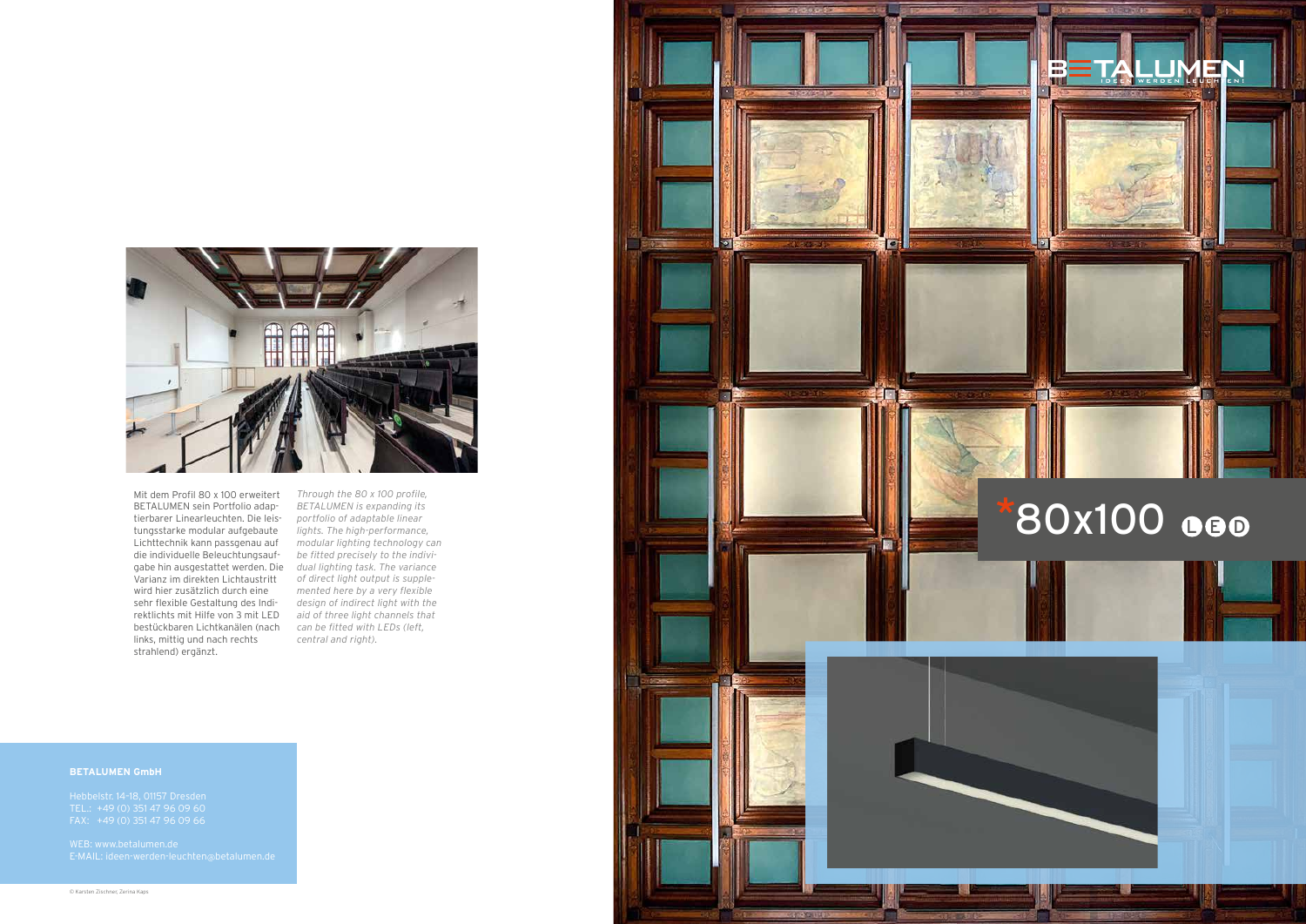

Mit dem Profil 80 x 100 erweitert BETALUMEN sein Portfolio adap tierbarer Linearleuchten. Die leis tungsstarke modular aufgebaute Lichttechnik kann passgenau auf die individuelle Beleuchtungsauf gabe hin ausgestattet werden. Die *dual lighting task. The variance*  Varianz im direkten Lichtaustritt wird hier zusätzlich durch eine sehr flexible Gestaltung des Indi rektlichts mit Hilfe von 3 mit LED bestückbaren Lichtkanälen (nach links, mittig und nach rechts strahlend) ergänzt.

*Through the 80 x 100 profile, BETALUMEN is expanding its portfolio of adaptable linear lights. The high-performance, modular lighting technology can be fitted precisely to the indivi of direct light output is supple mented here by a very flexible design of indirect light with the aid of three light channels that can be fitted with LEDs (left, central and right).*

# **BETALUMEN GmbH**

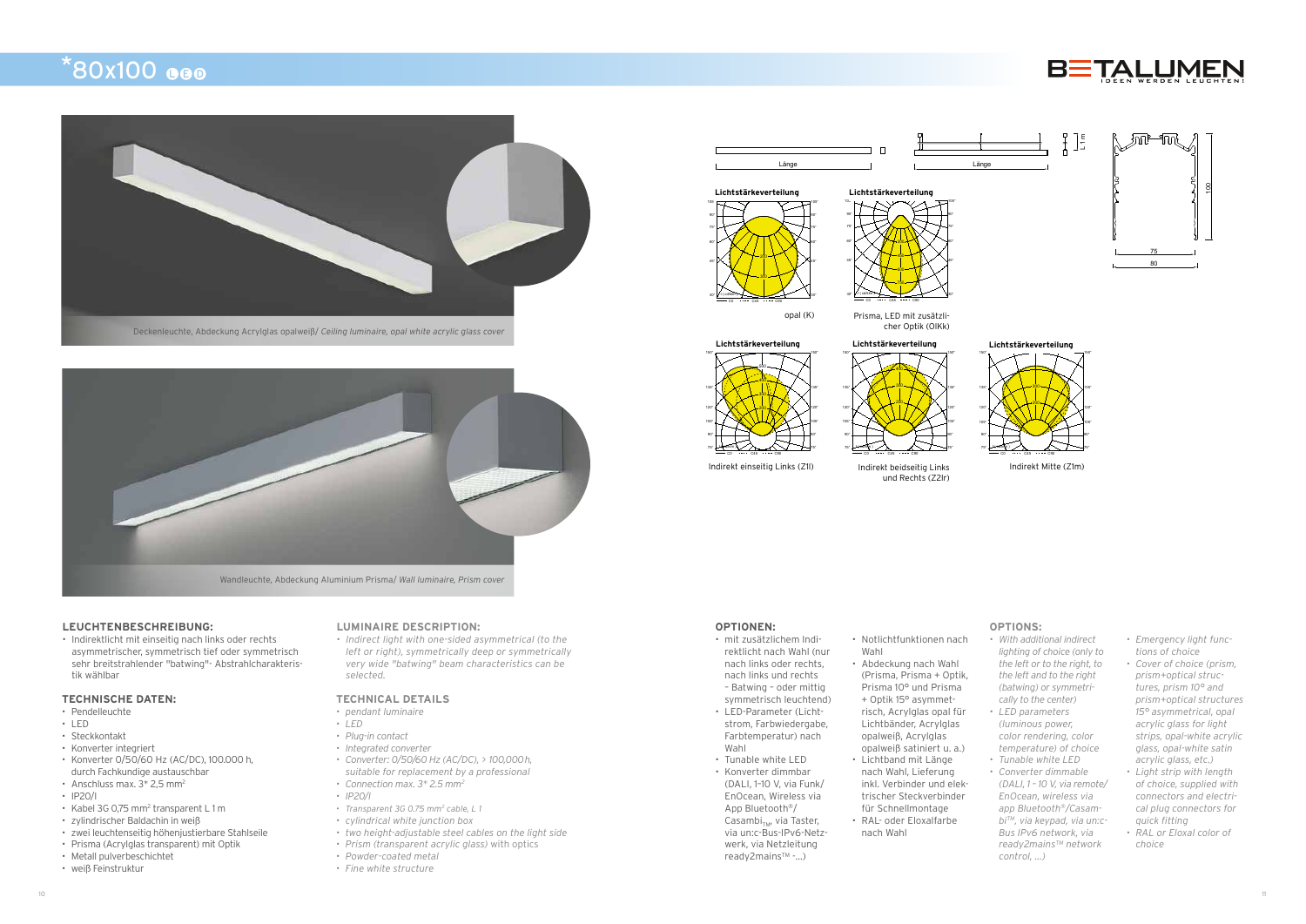

# **LEUCHTENBESCHREIBUNG:**

• Indirektlicht mit einseitig nach links oder rechts asymmetrischer, symmetrisch tief oder symmetrisch sehr breitstrahlender "batwing"- Abstrahlcharakteristik wählbar

### **TECHNISCHE DATEN:**

- Pendelleuchte
- LED
- Steckkontakt
- Konverter integriert
- Konverter 0/50/60 Hz (AC/DC), 100.000 h, durch Fachkundige austauschbar
- Anschluss max.  $3*2,5$  mm<sup>2</sup>
- IP20/I
- Kabel 3G 0,75 mm<sup>2</sup> transparent L 1 m
- zylindrischer Baldachin in weiß
- zwei leuchtenseitig höhenjustierbare Stahlseile
- Prisma (Acrylglas transparent) mit Optik
- Metall pulverbeschichtet
- weiß Feinstruktur

#### **OPTIONEN:**

- mit zusätzlichem Indirektlicht nach Wahl (nur nach links oder rechts, nach links und rechts – Batwing – oder mittig
- symmetrisch leuchtend) • LED-Parameter (Lichtstrom, Farbwiedergabe, Farbtemperatur) nach
- Wahl • Tunable white LED
- Konverter dimmbar (DALI, 1–10 V, via Funk/ EnOcean, Wireless via App Bluetooth®/ Casambi<sub>TM</sub>, via Taster, via un:c-Bus-IPv6-Netzwerk, via Netzleitung ready2mains™ -...)
- Wahl • Abdeckung nach Wahl (Prisma, Prisma + Optik,

• Notlichtfunktionen nach

- Prisma 10° und Prisma + Optik 15° asymmetrisch, Acrylglas opal für Lichtbänder, Acrylglas opalweiß, Acrylglas opalweiß satiniert u. a.)
- Lichtband mit Länge nach Wahl, Lieferung inkl. Verbinder und elektrischer Steckverbinder für Schnellmontage
- RAL- oder Eloxalfarbe nach Wahl

#### **LUMINAIRE DESCRIPTION:**

*• Indirect light with one-sided asymmetrical (to the left or right), symmetrically deep or symmetrically very wide "batwing" beam characteristics can be selected.*

### **TECHNICAL DETAILS**

- *• pendant luminaire*
- *• LED*
- *• Plug-in contact*
- *• Integrated converter*
- *• Converter: 0/50/60 Hz (AC/DC), > 100,000h,*
- *suitable for replacement by a professional*
- *• Connection max. 3\* 2.5 mm2*
- *• IP20/I*
- *• Transparent 3G 0.75 mm2 cable, L 1*
- *• cylindrical white junction box*
- *• two height-adjustable steel cables on the light side*
- *• Prism (transparent acrylic glass)* with optics
- *• Powder-coated metal*
- *• Fine white structure*

# **OPTIONS:**

- *• With additional indirect lighting of choice (only to the left or to the right, to the left and to the right (batwing) or symmetrically to the center)*
- *• LED parameters (luminous power, color rendering, color temperature) of choice*
- *• Tunable white LED • Converter dimmable*
- *(DALI, 1 10 V, via remote/ EnOcean, wireless via app Bluetooth®/CasambiTM, via keypad, via un:c-Bus IPv6 network, via ready2mainsTM network control, ...)*
- *• Emergency light functions of choice*
- *• Cover of choice (prism, prism+optical structures, prism 10° and prism+optical structures 15° asymmetrical, opal acrylic glass for light strips, opal-white acrylic glass, opal-white satin acrylic glass, etc.)*
- *• Light strip with length of choice, supplied with connectors and electrical plug connectors for quick fitting*
- *• RAL or Eloxal color of choice*





I ( cd/klm )

opal (K)



 $CO$   $\cdots$   $C45$   $\cdots$   $C90$  $30°V$   $(0.00 \text{K} \cdot \text{m})$   $(30°V)$ 







Indirekt beidseitig Links und Rechts (Z2lr)

Lichtstärkeverteilung

 $150^\circ$  150°



Indirekt einseitig Links (Z1l)

C0 ---- C45 ---- C90 75° LHYDE/klm )\ / /\ \_ /\ \ / ̄ /\/ ?5° 90° 90° 105° L / X \\\\\Y /X \J105° 120° ( **\X; \ L200 J:** / **/**X 1120° 135° **1**  $\chi$   $\chi$  1 **1**  $\chi$  1  $\chi$  135°

 $H(2d/klm)$ 



# $*80x100$  ee

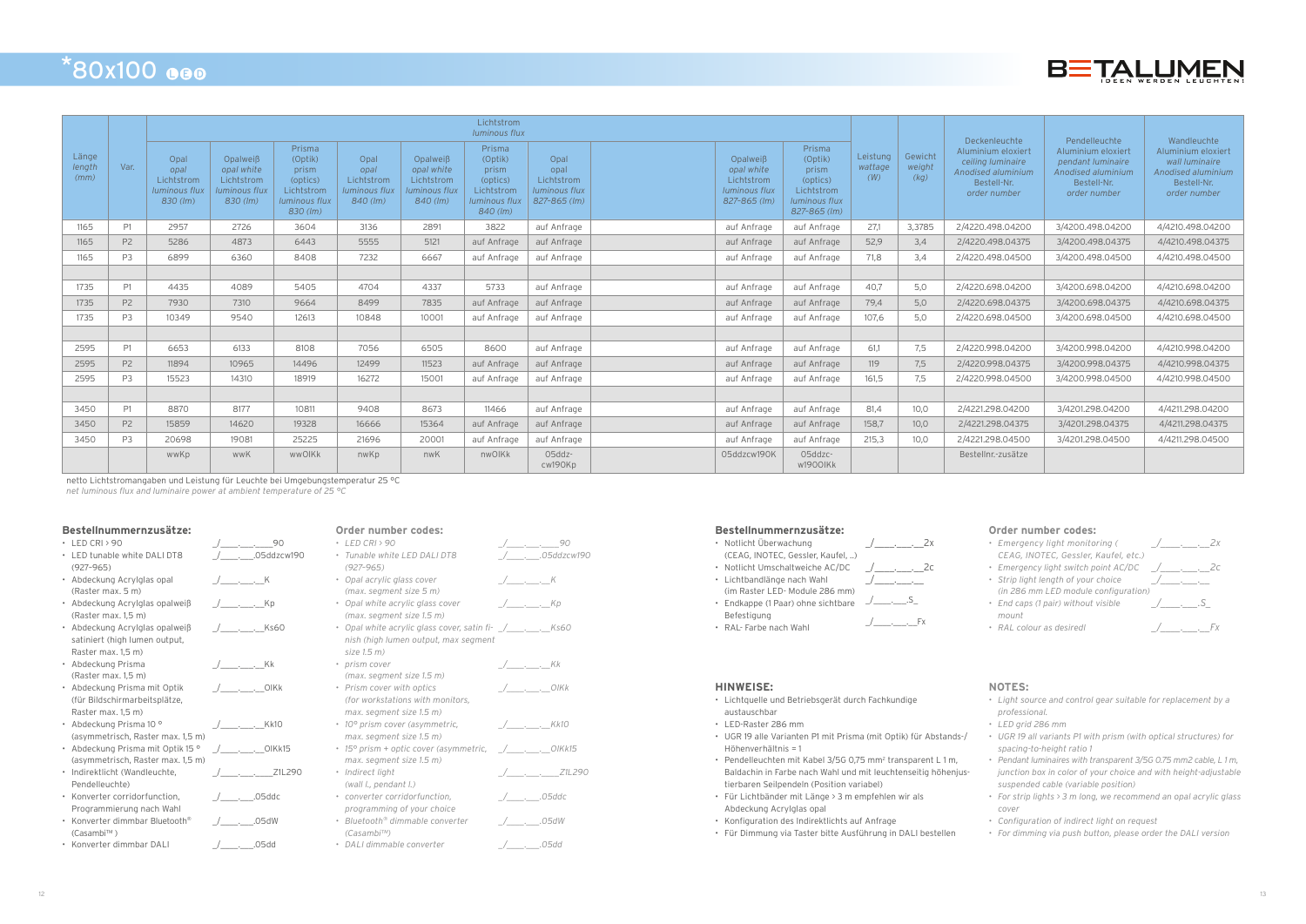### **Bestellnummernzusätze:**

|           | LED CRI > 90                                | / 90                                                                                                                 |
|-----------|---------------------------------------------|----------------------------------------------------------------------------------------------------------------------|
|           | LED tunable white DALI DT8<br>$(927 - 965)$ | (Comparison Comparison Comparison Comparison Comparison Comparison Comparison Comparison Comparison Comparison Compa |
|           | • Abdeckung Acrylglas opal                  | / K                                                                                                                  |
|           | (Raster max. 5 m)                           |                                                                                                                      |
|           | • Abdeckung Acrylglas opalweiß              | / Кр                                                                                                                 |
|           | (Raster max. 1,5 m)                         |                                                                                                                      |
|           | • Abdeckung Acrylglas opalweiß              | / Ks60                                                                                                               |
|           | satiniert (high lumen output,               |                                                                                                                      |
|           | Raster max. 1,5 m)                          |                                                                                                                      |
|           | • Abdeckung Prisma                          | / Kk                                                                                                                 |
|           | (Raster max. 1,5 m)                         |                                                                                                                      |
|           | • Abdeckung Prisma mit Optik                | / OIKk                                                                                                               |
|           | (für Bildschirmarbeitsplätze,               |                                                                                                                      |
|           | Raster max. 1,5 m)                          |                                                                                                                      |
|           | • Abdeckung Prisma 10 °                     | / Kk10                                                                                                               |
|           | (asymmetrisch, Raster max. 1,5 m)           |                                                                                                                      |
|           | • Abdeckung Prisma mit Optik 15 °           | OIKk15<br>$\sqrt{2}$                                                                                                 |
|           | (asymmetrisch, Raster max. 1,5 m)           |                                                                                                                      |
|           | · Indirektlicht (Wandleuchte,               | $1 - \cdot$ $21$ $290$                                                                                               |
|           | Pendelleuchte)                              |                                                                                                                      |
|           | • Konverter corridorfunction,               | / 05ddc                                                                                                              |
|           | Programmierung nach Wahl                    |                                                                                                                      |
| $\bullet$ | Konverter dimmbar Bluetooth <sup>®</sup>    | /05dW                                                                                                                |
|           | (Casambi™)                                  |                                                                                                                      |
|           | Konverter dimmbar DALI                      | /_____.____.05dd                                                                                                     |

# **HINWEISE:**

- Lichtquelle und Betriebsgerät durch Fachkundige austauschbar
- LED-Raster 286 mm
- UGR 19 alle Varianten P1 mit Prisma (mit Optik) für Abstands-/ Höhenverhältnis = 1
- Pendelleuchten mit Kabel 3/5G 0,75 mm<sup>2</sup> transparent L 1 m, Baldachin in Farbe nach Wahl und mit leuchtenseitig höhenjustierbaren Seilpendeln (Position variabel)
- Für Lichtbänder mit Länge > 3 m empfehlen wir als Abdeckung Acrylglas opal
- Konfiguration des Indirektlichts auf Anfrage
- Für Dimmung via Taster bitte Ausführung in DALI bestellen



# **NOTES:**

- *• Light source and control gear suitable for replacement by a professional.*
- *• LED grid 286 mm*
- *• UGR 19 all variants P1 with prism (with optical structures) for spacing-to-height ratio 1*
- *• Pendant luminaires with transparent 3/5G 0.75 mm2 cable, L 1 m, junction box in color of your choice and with height-adjustable suspended cable (variable position)*
- *• For strip lights > 3 m long, we recommend an opal acrylic glass cover*
- *• Configuration of indirect light on request*
- *• For dimming via push button, please order the DALI version*

# **Order number codes:**

| $\bullet$ | LED CRI > 90                                                     |  | $1 - 30$                       |
|-----------|------------------------------------------------------------------|--|--------------------------------|
| ۰         | Tunable white LED DALI DT8                                       |  | _________.05ddzcw190           |
|           | $(927 - 965)$                                                    |  |                                |
|           | • Opal acrylic glass cover                                       |  | / K                            |
|           | (max. segment size 5 m)                                          |  |                                |
|           | • Opal white acrylic glass cover                                 |  | $\frac{1}{1}$ . Kp             |
|           | (max. segment size 1.5 m)                                        |  |                                |
|           | • Opal white acrylic glass cover, satin fi- _/_____________ Ks60 |  |                                |
|           | nish (high lumen output, max segment                             |  |                                |
|           | size 1.5 m)                                                      |  |                                |
|           | • prism cover                                                    |  | $\_\_\_\_\_\_\_\_\_\_\_\_\$ Kk |
|           | (max. segment size 1.5 m)                                        |  |                                |
|           | • Prism cover with optics                                        |  |                                |
|           | (for workstations with monitors,                                 |  |                                |
|           | max. segment size 1.5 m)                                         |  |                                |
|           | • 10° prism cover (asymmetric,                                   |  | / Kk10                         |
|           | max. segment size 1.5 m)                                         |  |                                |
|           | • 15° prism + optic cover (asymmetric,                           |  | / OIKk15                       |
|           | max. segment size 1.5 m)                                         |  |                                |
|           | · Indirect light                                                 |  | / Z1L290                       |
|           | (wall I., pendant I.)                                            |  |                                |
|           | • converter corridorfunction,                                    |  | / 05ddc                        |
|           | programming of your choice                                       |  |                                |
|           | • Bluetooth® dimmable converter                                  |  | / <i>.</i> 05dW                |
|           | $(Casambi^{TM})$                                                 |  |                                |
|           | • DALI dimmable converter                                        |  |                                |

### **Bestellnummernzusätze:** \_/\_\_\_\_.\_\_\_.\_\_2x

- Notlicht Überwachung (CEAG, INOTEC, Gessler, Kaufel, ..)  $\frac{1}{2}$ .  $\frac{2x}{2}$
- Notlicht Umschaltweiche AC/DC \_\_\_\_\_\_\_\_\_\_\_\_\_\_\_\_\_\_\_\_\_2c
- Lichtbandlänge nach Wahl
- (im Raster LED- Module 286 mm)
- Endkappe (1 Paar) ohne sichtbare Befestigung

• RAL- Farbe nach Wahl  $\overline{y}$  \_\_\_. Fx

 $\_\cdot$ \_\_\_\_\_.S\_

 $\sqrt{a^2+a^2}$ 

# **Order number codes:** *\_/\_\_\_\_.\_\_\_.\_\_2c*

- *• Emergency light monitoring ( CEAG, INOTEC, Gessler, Kaufel, etc.)*
- *• Emergency light switch point AC/DC \_/\_\_\_\_.\_\_\_.\_\_2c • Strip light length of your choice*
- *(in 286 mm LED module configuration) • End caps (1 pair) without visible*
- *mount*
- 



# $*80x100$  ee

|                         |                | Lichtstrom<br><b>Iuminous flux</b>                        |                                                                     |                                                                                   |                                                                  |                                                                            |                                                                                          |                                                                    |                                                                              |                                                                                              |                            |                           | Deckenleuchte                                                                                |                                                                                                               |                                                                                                          |
|-------------------------|----------------|-----------------------------------------------------------|---------------------------------------------------------------------|-----------------------------------------------------------------------------------|------------------------------------------------------------------|----------------------------------------------------------------------------|------------------------------------------------------------------------------------------|--------------------------------------------------------------------|------------------------------------------------------------------------------|----------------------------------------------------------------------------------------------|----------------------------|---------------------------|----------------------------------------------------------------------------------------------|---------------------------------------------------------------------------------------------------------------|----------------------------------------------------------------------------------------------------------|
| Länge<br>length<br>(mm) | Var.           | Opal<br>opal<br>Lichtstrom<br>luminous flux<br>$830$ (lm) | Opalweiß<br>opal white<br>Lichtstrom<br>luminous flux<br>$830$ (lm) | Prisma<br>(Optik)<br>prism<br>(optics)<br>Lichtstrom<br>luminous flux<br>830 (lm) | Opal<br>opal<br>Lichtstrom<br><b>Iuminous flux</b><br>$840$ (lm) | Opalweiß<br>opal white<br>Lichtstrom<br><b>luminous flux</b><br>$840$ (lm) | Prisma<br>(Optik)<br>prism<br>(optics)<br>Lichtstrom<br><b>luminous flux</b><br>840 (lm) | Opal<br>opal<br>Lichtstrom<br><b>luminous flux</b><br>827-865 (lm) | Opalweiß<br>opal white<br>Lichtstrom<br><b>luminous flux</b><br>827-865 (lm) | Prisma<br>(Optik)<br>prism<br>(optics)<br>Lichtstrom<br><b>luminous flux</b><br>827-865 (lm) | Leistung<br>wattage<br>(W) | Gewicht<br>weight<br>(kq) | Aluminium eloxiert<br>ceiling luminaire<br>Anodised aluminium<br>Bestell-Nr.<br>order number | Pendelleuchte<br>Aluminium eloxiert<br>pendant luminaire<br>Anodised aluminium<br>Bestell-Nr.<br>order number | Wandleuchte<br>Aluminium eloxiert<br>wall luminaire<br>Anodised aluminium<br>Bestell-Nr.<br>order number |
| 1165                    | P1             | 2957                                                      | 2726                                                                | 3604                                                                              | 3136                                                             | 2891                                                                       | 3822                                                                                     | auf Anfrage                                                        | auf Anfrage                                                                  | auf Anfrage                                                                                  | 27,1                       | 3,3785                    | 2/4220.498.04200                                                                             | 3/4200.498.04200                                                                                              | 4/4210.498.04200                                                                                         |
| 1165                    | P <sub>2</sub> | 5286                                                      | 4873                                                                | 6443                                                                              | 5555                                                             | 5121                                                                       | auf Anfrage                                                                              | auf Anfrage                                                        | auf Anfrage                                                                  | auf Anfrage                                                                                  | 52,9                       | 3,4                       | 2/4220.498.04375                                                                             | 3/4200.498.04375                                                                                              | 4/4210.498.04375                                                                                         |
| 1165                    | P <sub>3</sub> | 6899                                                      | 6360                                                                | 8408                                                                              | 7232                                                             | 6667                                                                       | auf Anfrage                                                                              | auf Anfrage                                                        | auf Anfrage                                                                  | auf Anfrage                                                                                  | 71.8                       | 3,4                       | 2/4220.498.04500                                                                             | 3/4200.498.04500                                                                                              | 4/4210.498.04500                                                                                         |
|                         |                |                                                           |                                                                     |                                                                                   |                                                                  |                                                                            |                                                                                          |                                                                    |                                                                              |                                                                                              |                            |                           |                                                                                              |                                                                                                               |                                                                                                          |
| 1735                    | P1             | 4435                                                      | 4089                                                                | 5405                                                                              | 4704                                                             | 4337                                                                       | 5733                                                                                     | auf Anfrage                                                        | auf Anfrage                                                                  | auf Anfrage                                                                                  | 40.7                       | 5,0                       | 2/4220.698.04200                                                                             | 3/4200.698.04200                                                                                              | 4/4210.698.04200                                                                                         |
| 1735                    | P <sub>2</sub> | 7930                                                      | 7310                                                                | 9664                                                                              | 8499                                                             | 7835                                                                       | auf Anfrage                                                                              | auf Anfrage                                                        | auf Anfrage                                                                  | auf Anfrage                                                                                  | 79,4                       | 5,0                       | 2/4220.698.04375                                                                             | 3/4200.698.04375                                                                                              | 4/4210.698.04375                                                                                         |
| 1735                    | P <sub>3</sub> | 10349                                                     | 9540                                                                | 12613                                                                             | 10848                                                            | 10001                                                                      | auf Anfrage                                                                              | auf Anfrage                                                        | auf Anfrage                                                                  | auf Anfrage                                                                                  | 107,6                      | 5,0                       | 2/4220.698.04500                                                                             | 3/4200.698.04500                                                                                              | 4/4210.698.04500                                                                                         |
|                         |                |                                                           |                                                                     |                                                                                   |                                                                  |                                                                            |                                                                                          |                                                                    |                                                                              |                                                                                              |                            |                           |                                                                                              |                                                                                                               |                                                                                                          |
| 2595                    | P1             | 6653                                                      | 6133                                                                | 8108                                                                              | 7056                                                             | 6505                                                                       | 8600                                                                                     | auf Anfrage                                                        | auf Anfrage                                                                  | auf Anfrage                                                                                  | 61.1                       | 7.5                       | 2/4220.998.04200                                                                             | 3/4200.998.04200                                                                                              | 4/4210.998.04200                                                                                         |
| 2595                    | P <sub>2</sub> | 11894                                                     | 10965                                                               | 14496                                                                             | 12499                                                            | 11523                                                                      | auf Anfrage                                                                              | auf Anfrage                                                        | auf Anfrage                                                                  | auf Anfrage                                                                                  | 119                        | 7,5                       | 2/4220.998.04375                                                                             | 3/4200.998.04375                                                                                              | 4/4210.998.04375                                                                                         |
| 2595                    | P <sub>3</sub> | 15523                                                     | 14310                                                               | 18919                                                                             | 16272                                                            | 15001                                                                      | auf Anfrage                                                                              | auf Anfrage                                                        | auf Anfrage                                                                  | auf Anfrage                                                                                  | 161,5                      | 7,5                       | 2/4220.998.04500                                                                             | 3/4200.998.04500                                                                                              | 4/4210.998.04500                                                                                         |
|                         |                |                                                           |                                                                     |                                                                                   |                                                                  |                                                                            |                                                                                          |                                                                    |                                                                              |                                                                                              |                            |                           |                                                                                              |                                                                                                               |                                                                                                          |
| 3450                    | P1             | 8870                                                      | 8177                                                                | 10811                                                                             | 9408                                                             | 8673                                                                       | 11466                                                                                    | auf Anfrage                                                        | auf Anfrage                                                                  | auf Anfrage                                                                                  | 81,4                       | 10,0                      | 2/4221.298.04200                                                                             | 3/4201.298.04200                                                                                              | 4/4211.298.04200                                                                                         |
| 3450                    | P <sub>2</sub> | 15859                                                     | 14620                                                               | 19328                                                                             | 16666                                                            | 15364                                                                      | auf Anfrage                                                                              | auf Anfrage                                                        | auf Anfrage                                                                  | auf Anfrage                                                                                  | 158,7                      | 10,0                      | 2/4221.298.04375                                                                             | 3/4201.298.04375                                                                                              | 4/4211.298.04375                                                                                         |
| 3450                    | P <sub>3</sub> | 20698                                                     | 19081                                                               | 25225                                                                             | 21696                                                            | 20001                                                                      | auf Anfrage                                                                              | auf Anfrage                                                        | auf Anfrage                                                                  | auf Anfrage                                                                                  | 215.3                      | 10.0                      | 2/4221.298.04500                                                                             | 3/4201.298.04500                                                                                              | 4/4211.298.04500                                                                                         |
|                         |                | wwKp                                                      | wwK                                                                 | wwOlKk                                                                            | nwKp                                                             | nwK                                                                        | nwOlKk                                                                                   | O5ddz-<br>cw190Kp                                                  | 05ddzcw190K                                                                  | O5ddzc-<br>w1900lKk                                                                          |                            |                           | Bestellnr.-zusätze                                                                           |                                                                                                               |                                                                                                          |

netto Lichtstromangaben und Leistung für Leuchte bei Umgebungstemperatur 25 °C

*net luminous flux and luminaire power at ambient temperature of 25 °C*